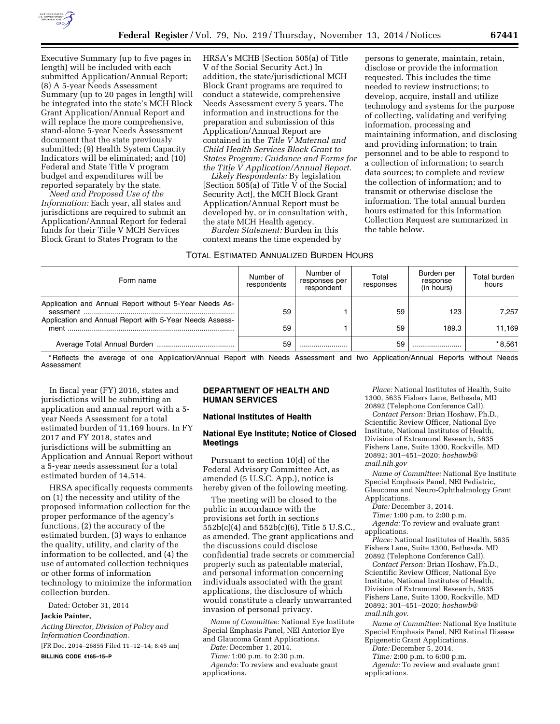

HRSA's MCHB [Section 505(a) of Title

Executive Summary (up to five pages in length) will be included with each submitted Application/Annual Report; (8) A 5-year Needs Assessment Summary (up to 20 pages in length) will be integrated into the state's MCH Block Grant Application/Annual Report and will replace the more comprehensive, stand-alone 5-year Needs Assessment document that the state previously submitted; (9) Health System Capacity Indicators will be eliminated; and (10) Federal and State Title V program budget and expenditures will be reported separately by the state.

*Need and Proposed Use of the Information:* Each year, all states and jurisdictions are required to submit an Application/Annual Report for federal funds for their Title V MCH Services Block Grant to States Program to the

V of the Social Security Act.) In addition, the state/jurisdictional MCH Block Grant programs are required to conduct a statewide, comprehensive Needs Assessment every 5 years. The information and instructions for the preparation and submission of this Application/Annual Report are contained in the *Title V Maternal and Child Health Services Block Grant to States Program: Guidance and Forms for the Title V Application/Annual Report.* 

*Likely Respondents:* By legislation [Section 505(a) of Title V of the Social Security Act], the MCH Block Grant Application/Annual Report must be developed by, or in consultation with, the state MCH Health agency.

*Burden Statement:* Burden in this context means the time expended by

# TOTAL ESTIMATED ANNUALIZED BURDEN HOURS

persons to generate, maintain, retain, disclose or provide the information requested. This includes the time needed to review instructions; to develop, acquire, install and utilize technology and systems for the purpose of collecting, validating and verifying information, processing and maintaining information, and disclosing and providing information; to train personnel and to be able to respond to a collection of information; to search data sources; to complete and review the collection of information; and to transmit or otherwise disclose the information. The total annual burden hours estimated for this Information Collection Request are summarized in the table below.

| Form name                                                                                                         | Number of<br>respondents | Number of<br>responses per<br>respondent | Total<br>responses | Burden per<br>response<br>(in hours) | Total burden<br>hours |
|-------------------------------------------------------------------------------------------------------------------|--------------------------|------------------------------------------|--------------------|--------------------------------------|-----------------------|
| Application and Annual Report without 5-Year Needs As-<br>Application and Annual Report with 5-Year Needs Assess- | 59                       |                                          | 59                 | 123                                  | 7.257                 |
| ment                                                                                                              | 59                       |                                          | 59                 | 189.3                                | 11.169                |
|                                                                                                                   | 59                       |                                          | 59                 |                                      | * 8.561               |

\* Reflects the average of one Application/Annual Report with Needs Assessment and two Application/Annual Reports without Needs Assessment

In fiscal year (FY) 2016, states and jurisdictions will be submitting an application and annual report with a 5 year Needs Assessment for a total estimated burden of 11,169 hours. In FY 2017 and FY 2018, states and jurisdictions will be submitting an Application and Annual Report without a 5-year needs assessment for a total estimated burden of 14,514.

HRSA specifically requests comments on (1) the necessity and utility of the proposed information collection for the proper performance of the agency's functions, (2) the accuracy of the estimated burden, (3) ways to enhance the quality, utility, and clarity of the information to be collected, and (4) the use of automated collection techniques or other forms of information technology to minimize the information collection burden.

Dated: October 31, 2014

### **Jackie Painter,**

*Acting Director, Division of Policy and Information Coordination.* 

[FR Doc. 2014–26855 Filed 11–12–14; 8:45 am]

**BILLING CODE 4165–15–P** 

## **DEPARTMENT OF HEALTH AND HUMAN SERVICES**

#### **National Institutes of Health**

## **National Eye Institute; Notice of Closed Meetings**

Pursuant to section 10(d) of the Federal Advisory Committee Act, as amended (5 U.S.C. App.), notice is hereby given of the following meeting.

The meeting will be closed to the public in accordance with the provisions set forth in sections 552b(c)(4) and 552b(c)(6), Title 5 U.S.C., as amended. The grant applications and the discussions could disclose confidential trade secrets or commercial property such as patentable material, and personal information concerning individuals associated with the grant applications, the disclosure of which would constitute a clearly unwarranted invasion of personal privacy.

*Name of Committee:* National Eye Institute Special Emphasis Panel, NEI Anterior Eye and Glaucoma Grant Applications.

*Date:* December 1, 2014.

*Time:* 1:00 p.m. to 2:30 p.m. *Agenda:* To review and evaluate grant applications.

*Place:* National Institutes of Health, Suite 1300, 5635 Fishers Lane, Bethesda, MD 20892 (Telephone Conference Call).

*Contact Person:* Brian Hoshaw, Ph.D., Scientific Review Officer, National Eye Institute, National Institutes of Health, Division of Extramural Research, 5635 Fishers Lane, Suite 1300, Rockville, MD 20892; 301–451–2020; *[hoshawb@](mailto:hoshawb@mail.nih.gov) [mail.nih.gov](mailto:hoshawb@mail.nih.gov)* 

*Name of Committee:* National Eye Institute Special Emphasis Panel, NEI Pediatric, Glaucoma and Neuro-Ophthalmology Grant Applications.

*Date:* December 3, 2014.

*Time:* 1:00 p.m. to 2:00 p.m.

*Agenda:* To review and evaluate grant applications.

*Place:* National Institutes of Health, 5635 Fishers Lane, Suite 1300, Bethesda, MD 20892 (Telephone Conference Call).

*Contact Person:* Brian Hoshaw, Ph.D., Scientific Review Officer, National Eye Institute, National Institutes of Health, Division of Extramural Research, 5635 Fishers Lane, Suite 1300, Rockville, MD 20892; 301–451–2020; *[hoshawb@](mailto:hoshawb@mail.nih.gov) [mail.nih.gov](mailto:hoshawb@mail.nih.gov)*.

*Name of Committee:* National Eye Institute Special Emphasis Panel, NEI Retinal Disease Epigenetic Grant Applications.

*Date:* December 5, 2014.

*Time:* 2:00 p.m. to 6:00 p.m.

*Agenda:* To review and evaluate grant applications.